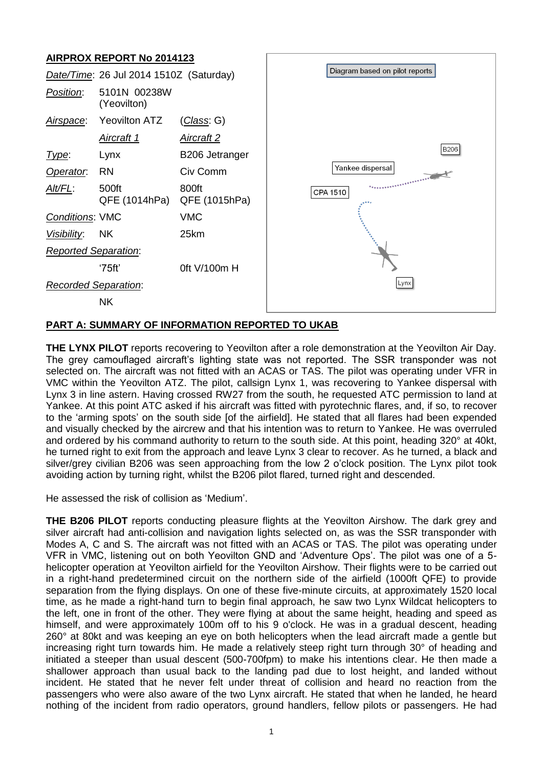# **AIRPROX REPORT No 2014123**



### **PART A: SUMMARY OF INFORMATION REPORTED TO UKAB**

**THE LYNX PILOT** reports recovering to Yeovilton after a role demonstration at the Yeovilton Air Day. The grey camouflaged aircraft's lighting state was not reported. The SSR transponder was not selected on. The aircraft was not fitted with an ACAS or TAS. The pilot was operating under VFR in VMC within the Yeovilton ATZ. The pilot, callsign Lynx 1, was recovering to Yankee dispersal with Lynx 3 in line astern. Having crossed RW27 from the south, he requested ATC permission to land at Yankee. At this point ATC asked if his aircraft was fitted with pyrotechnic flares, and, if so, to recover to the 'arming spots' on the south side [of the airfield]. He stated that all flares had been expended and visually checked by the aircrew and that his intention was to return to Yankee. He was overruled and ordered by his command authority to return to the south side. At this point, heading 320° at 40kt, he turned right to exit from the approach and leave Lynx 3 clear to recover. As he turned, a black and silver/grey civilian B206 was seen approaching from the low 2 o'clock position. The Lynx pilot took avoiding action by turning right, whilst the B206 pilot flared, turned right and descended.

He assessed the risk of collision as 'Medium'.

**THE B206 PILOT** reports conducting pleasure flights at the Yeovilton Airshow. The dark grey and silver aircraft had anti-collision and navigation lights selected on, as was the SSR transponder with Modes A, C and S. The aircraft was not fitted with an ACAS or TAS. The pilot was operating under VFR in VMC, listening out on both Yeovilton GND and 'Adventure Ops'. The pilot was one of a 5 helicopter operation at Yeovilton airfield for the Yeovilton Airshow. Their flights were to be carried out in a right-hand predetermined circuit on the northern side of the airfield (1000ft QFE) to provide separation from the flying displays. On one of these five-minute circuits, at approximately 1520 local time, as he made a right-hand turn to begin final approach, he saw two Lynx Wildcat helicopters to the left, one in front of the other. They were flying at about the same height, heading and speed as himself, and were approximately 100m off to his 9 o'clock. He was in a gradual descent, heading 260° at 80kt and was keeping an eye on both helicopters when the lead aircraft made a gentle but increasing right turn towards him. He made a relatively steep right turn through 30° of heading and initiated a steeper than usual descent (500-700fpm) to make his intentions clear. He then made a shallower approach than usual back to the landing pad due to lost height, and landed without incident. He stated that he never felt under threat of collision and heard no reaction from the passengers who were also aware of the two Lynx aircraft. He stated that when he landed, he heard nothing of the incident from radio operators, ground handlers, fellow pilots or passengers. He had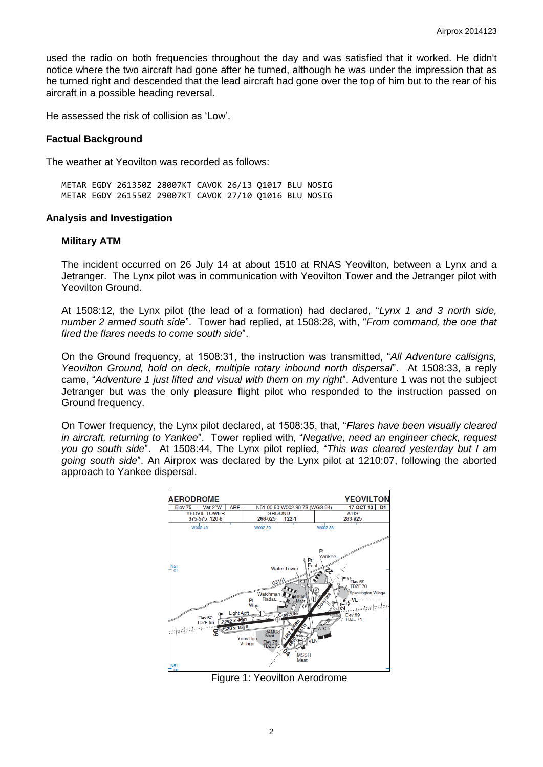used the radio on both frequencies throughout the day and was satisfied that it worked. He didn't notice where the two aircraft had gone after he turned, although he was under the impression that as he turned right and descended that the lead aircraft had gone over the top of him but to the rear of his aircraft in a possible heading reversal.

He assessed the risk of collision as 'Low'.

### **Factual Background**

The weather at Yeovilton was recorded as follows:

METAR EGDY 261350Z 28007KT CAVOK 26/13 Q1017 BLU NOSIG METAR EGDY 261550Z 29007KT CAVOK 27/10 Q1016 BLU NOSIG

#### **Analysis and Investigation**

#### **Military ATM**

The incident occurred on 26 July 14 at about 1510 at RNAS Yeovilton, between a Lynx and a Jetranger. The Lynx pilot was in communication with Yeovilton Tower and the Jetranger pilot with Yeovilton Ground.

At 1508:12, the Lynx pilot (the lead of a formation) had declared, "*Lynx 1 and 3 north side, number 2 armed south side*". Tower had replied, at 1508:28, with, "*From command, the one that fired the flares needs to come south side*".

On the Ground frequency, at 1508:31, the instruction was transmitted, "*All Adventure callsigns, Yeovilton Ground, hold on deck, multiple rotary inbound north dispersal*". At 1508:33, a reply came, "*Adventure 1 just lifted and visual with them on my right*". Adventure 1 was not the subject Jetranger but was the only pleasure flight pilot who responded to the instruction passed on Ground frequency.

On Tower frequency, the Lynx pilot declared, at 1508:35, that, "*Flares have been visually cleared in aircraft, returning to Yankee*". Tower replied with, "*Negative, need an engineer check, request you go south side*". At 1508:44, The Lynx pilot replied, "*This was cleared yesterday but I am going south side*". An Airprox was declared by the Lynx pilot at 1210:07, following the aborted approach to Yankee dispersal.



Figure 1: Yeovilton Aerodrome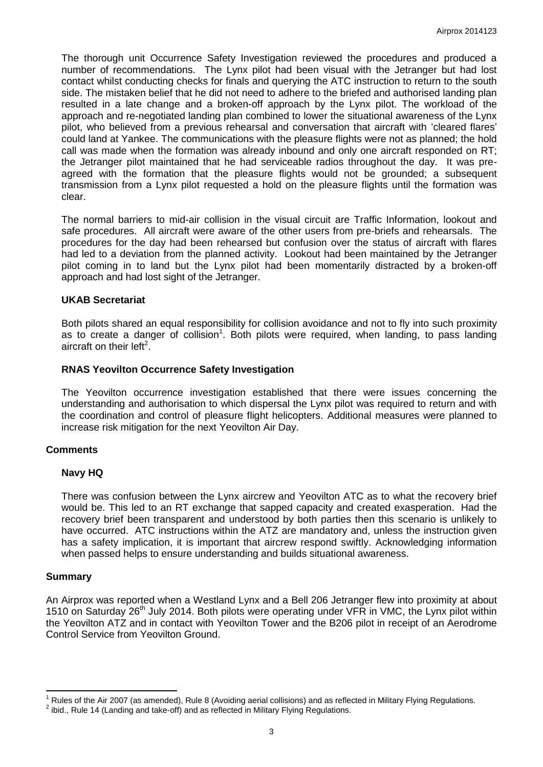The thorough unit Occurrence Safety Investigation reviewed the procedures and produced a number of recommendations. The Lynx pilot had been visual with the Jetranger but had lost contact whilst conducting checks for finals and querying the ATC instruction to return to the south side. The mistaken belief that he did not need to adhere to the briefed and authorised landing plan resulted in a late change and a broken-off approach by the Lynx pilot. The workload of the approach and re-negotiated landing plan combined to lower the situational awareness of the Lynx pilot, who believed from a previous rehearsal and conversation that aircraft with 'cleared flares' could land at Yankee. The communications with the pleasure flights were not as planned; the hold call was made when the formation was already inbound and only one aircraft responded on RT; the Jetranger pilot maintained that he had serviceable radios throughout the day. It was preagreed with the formation that the pleasure flights would not be grounded; a subsequent transmission from a Lynx pilot requested a hold on the pleasure flights until the formation was clear.

The normal barriers to mid-air collision in the visual circuit are Traffic Information, lookout and safe procedures. All aircraft were aware of the other users from pre-briefs and rehearsals. The procedures for the day had been rehearsed but confusion over the status of aircraft with flares had led to a deviation from the planned activity. Lookout had been maintained by the Jetranger pilot coming in to land but the Lynx pilot had been momentarily distracted by a broken-off approach and had lost sight of the Jetranger.

### **UKAB Secretariat**

Both pilots shared an equal responsibility for collision avoidance and not to fly into such proximity as to create a danger of collision<sup>1</sup>. Both pilots were required, when landing, to pass landing aircraft on their left<sup>2</sup>.

### **RNAS Yeovilton Occurrence Safety Investigation**

The Yeovilton occurrence investigation established that there were issues concerning the understanding and authorisation to which dispersal the Lynx pilot was required to return and with the coordination and control of pleasure flight helicopters. Additional measures were planned to increase risk mitigation for the next Yeovilton Air Day.

### **Comments**

# **Navy HQ**

There was confusion between the Lynx aircrew and Yeovilton ATC as to what the recovery brief would be. This led to an RT exchange that sapped capacity and created exasperation. Had the recovery brief been transparent and understood by both parties then this scenario is unlikely to have occurred. ATC instructions within the ATZ are mandatory and, unless the instruction given has a safety implication, it is important that aircrew respond swiftly. Acknowledging information when passed helps to ensure understanding and builds situational awareness.

### **Summary**

An Airprox was reported when a Westland Lynx and a Bell 206 Jetranger flew into proximity at about 1510 on Saturday 26<sup>th</sup> July 2014. Both pilots were operating under VFR in VMC, the Lynx pilot within the Yeovilton ATZ and in contact with Yeovilton Tower and the B206 pilot in receipt of an Aerodrome Control Service from Yeovilton Ground.

 $\overline{\phantom{a}}$ <sup>1</sup> Rules of the Air 2007 (as amended), Rule 8 (Avoiding aerial collisions) and as reflected in Military Flying Regulations.

 $^2$  ibid., Rule 14 (Landing and take-off) and as reflected in Military Flying Regulations.